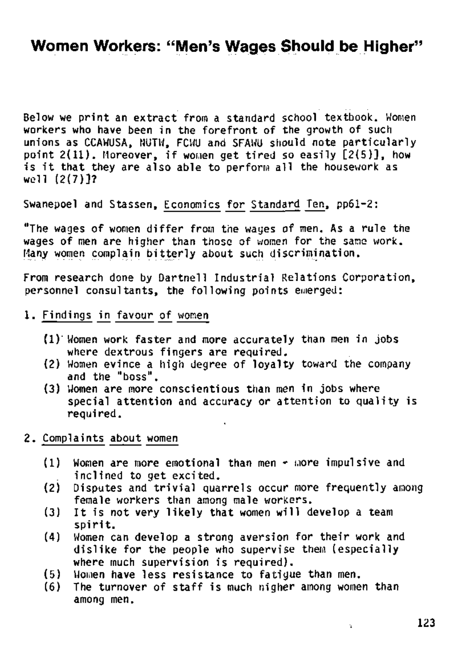## **Women Workers: "Men's Wages Should be Higher"**

Below we print an extract from a standard school textbook. Women workers who have been in the forefront of the growth of such unions as CCAWUSA, NUTW, FCWU and SFAWU should note particularly point  $2(11)$ . Moreover, if women get tired so easily  $[2(5)]$ , how is it that they are also able to perform all the housework as well (2(7)]?

From research done by Dartnell Industrial Relations Corporation, personnel consultants, the following points emerged:

Swanepoel and Stassen, Economics for Standard Ten, pp61-2:

"The wages of women differ from the wages of men. As a rule the wages of men are higher than those of women for the same work. Many women complain bitterly about such discrimination.

- 1. Findings in favour of women
	- (1) Women work faster and more accurately than men in jobs where dextrous fingers are required,
	- (2) Women evince a high degree of loyalty toward the company and the "boss".
	- (3) Women are more conscientious than men in jobs where special attention and accuracy or attention to quality is required.
- 2. Complaints about women
	- $(1)$  Women are more emotional than men  $\epsilon$  more impulsive and inclined to get excited.
	- (2) Disputes and trivial quarrels occur more frequently among female workers than among male workers.
	- (3) It is not very likely that women will develop a team
	- spirit.
	- (4) Women can develop a strong aversion for their work and dislike for the people who supervise them (especially where much supervision is required). (5) Women have less resistance to fatigue than men.  $(6)$  The turnover of staff is much nigher among women than among men.

 $\ddot{\star}$